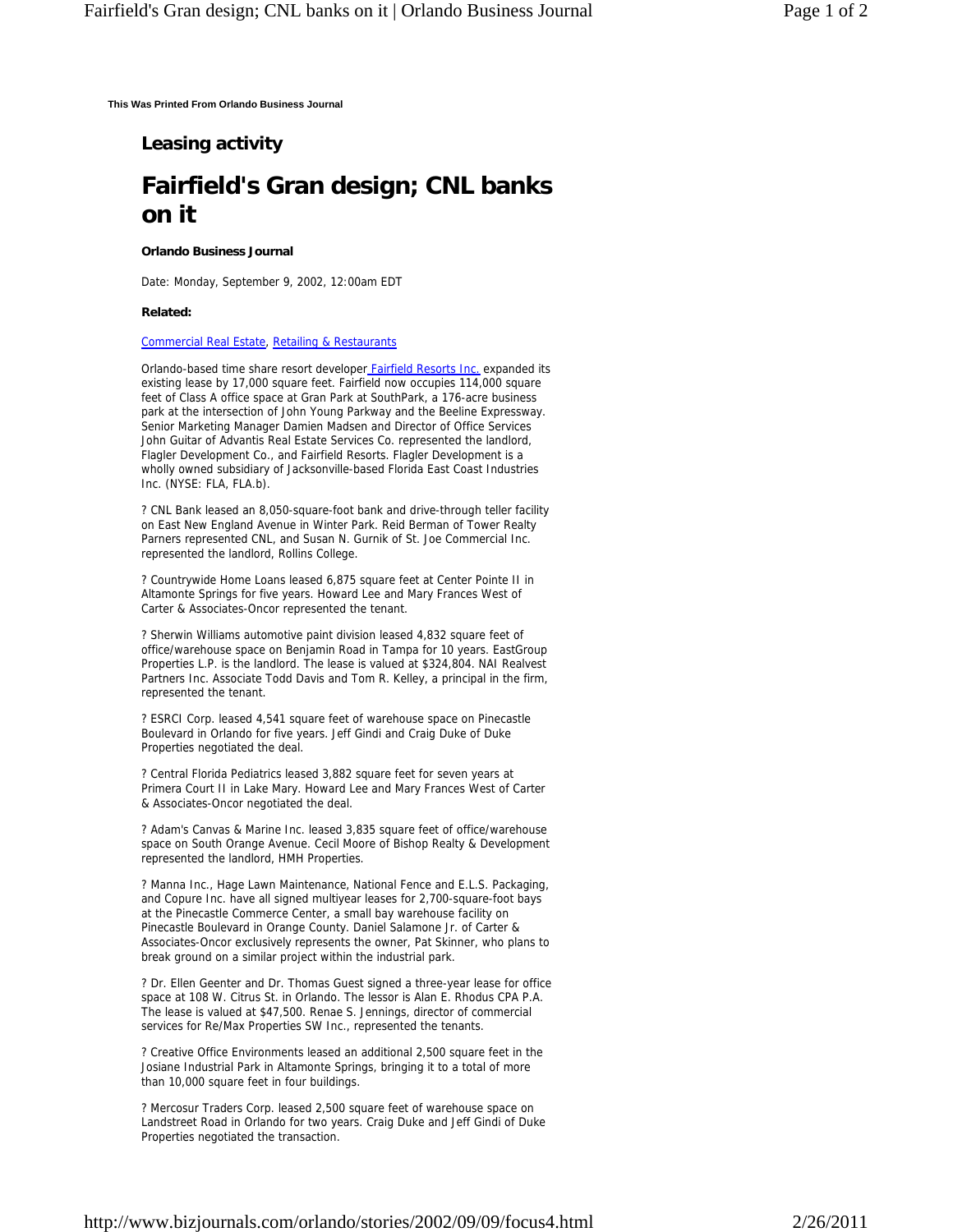**This Was Printed From Orlando Business Journal**

## **Leasing activity**

# **Fairfield's Gran design; CNL banks on it**

### **Orlando Business Journal**

Date: Monday, September 9, 2002, 12:00am EDT

#### **Related:**

#### Commercial Real Estate, Retailing & Restaurants

Orlando-based time share resort developer **Fairfield Resorts Inc.** expanded its existing lease by 17,000 square feet. Fairfield now occupies 114,000 square feet of Class A office space at Gran Park at SouthPark, a 176-acre business park at the intersection of John Young Parkway and the Beeline Expressway. Senior Marketing Manager Damien Madsen and Director of Office Services John Guitar of Advantis Real Estate Services Co. represented the landlord, Flagler Development Co., and Fairfield Resorts. Flagler Development is a wholly owned subsidiary of Jacksonville-based Florida East Coast Industries Inc. (NYSE: FLA, FLA.b).

? CNL Bank leased an 8,050-square-foot bank and drive-through teller facility on East New England Avenue in Winter Park. Reid Berman of Tower Realty Parners represented CNL, and Susan N. Gurnik of St. Joe Commercial Inc. represented the landlord, Rollins College.

? Countrywide Home Loans leased 6,875 square feet at Center Pointe II in Altamonte Springs for five years. Howard Lee and Mary Frances West of Carter & Associates-Oncor represented the tenant.

? Sherwin Williams automotive paint division leased 4,832 square feet of office/warehouse space on Benjamin Road in Tampa for 10 years. EastGroup Properties L.P. is the landlord. The lease is valued at \$324,804. NAI Realvest Partners Inc. Associate Todd Davis and Tom R. Kelley, a principal in the firm, represented the tenant.

? ESRCI Corp. leased 4,541 square feet of warehouse space on Pinecastle Boulevard in Orlando for five years. Jeff Gindi and Craig Duke of Duke Properties negotiated the deal.

? Central Florida Pediatrics leased 3,882 square feet for seven years at Primera Court II in Lake Mary. Howard Lee and Mary Frances West of Carter & Associates-Oncor negotiated the deal.

? Adam's Canvas & Marine Inc. leased 3,835 square feet of office/warehouse space on South Orange Avenue. Cecil Moore of Bishop Realty & Development represented the landlord, HMH Properties.

? Manna Inc., Hage Lawn Maintenance, National Fence and E.L.S. Packaging, and Copure Inc. have all signed multiyear leases for 2,700-square-foot bays at the Pinecastle Commerce Center, a small bay warehouse facility on Pinecastle Boulevard in Orange County. Daniel Salamone Jr. of Carter & Associates-Oncor exclusively represents the owner, Pat Skinner, who plans to break ground on a similar project within the industrial park.

? Dr. Ellen Geenter and Dr. Thomas Guest signed a three-year lease for office space at 108 W. Citrus St. in Orlando. The lessor is Alan E. Rhodus CPA P.A. The lease is valued at \$47,500. Renae S. Jennings, director of commercial services for Re/Max Properties SW Inc., represented the tenants.

? Creative Office Environments leased an additional 2,500 square feet in the Josiane Industrial Park in Altamonte Springs, bringing it to a total of more than 10,000 square feet in four buildings.

? Mercosur Traders Corp. leased 2,500 square feet of warehouse space on Landstreet Road in Orlando for two years. Craig Duke and Jeff Gindi of Duke Properties negotiated the transaction.